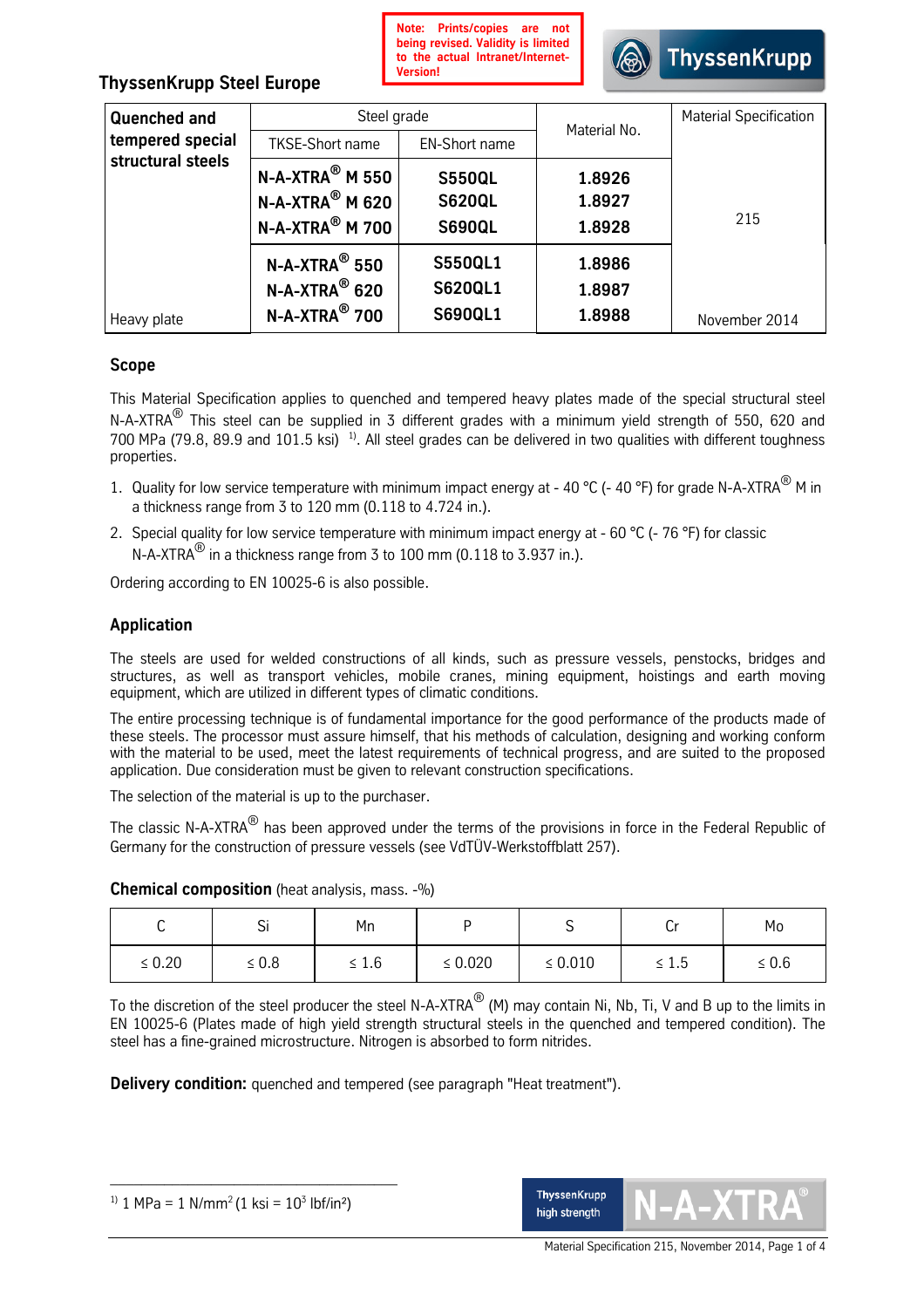

# **ThyssenKrupp Steel Europe**

| <b>Quenched and</b> | Steel grade                                   |                | Material No. | <b>Material Specification</b> |  |
|---------------------|-----------------------------------------------|----------------|--------------|-------------------------------|--|
| tempered special    | <b>TKSE-Short name</b>                        | EN-Short name  |              |                               |  |
| structural steels   | $N-A-XTRA^{\circledR}$ M 550<br><b>S550QL</b> |                | 1.8926       |                               |  |
|                     | $N-A-XTRA^@$ M 620                            | <b>S620QL</b>  | 1.8927       |                               |  |
|                     | $N-A-XTRA^{\circledR}$ M 700                  | <b>S690QL</b>  | 1.8928       | 215                           |  |
|                     | $N-A-XTRA^{\circledR}$ 550                    | <b>S550QL1</b> | 1.8986       |                               |  |
|                     | $N-A-XTRA^{\circledR}$ 620                    | <b>S620QL1</b> | 1.8987       |                               |  |
| Heavy plate         | N-A-XTRA <sup>®</sup> 700                     | <b>S690QL1</b> | 1.8988       | November 2014                 |  |

# **Scope**

This Material Specification applies to quenched and tempered heavy plates made of the special structural steel N-A-XTRA<sup>®</sup> This steel can be supplied in 3 different grades with a minimum yield strength of 550, 620 and 700 MPa (79.8, 89.9 and 101.5 ksi)<sup>1)</sup>. All steel grades can be delivered in two qualities with different toughness properties.

- 1. Quality for low service temperature with minimum impact energy at 40 °C (- 40 °F) for grade N-A-XTRA $^{\circledR}$  M in a thickness range from 3 to 120 mm (0.118 to 4.724 in.).
- 2. Special quality for low service temperature with minimum impact energy at 60 °C (- 76 °F) for classic N-A-XTRA $^\circledR$  in a thickness range from 3 to 100 mm (0.118 to 3.937 in.).

Ordering according to EN 10025-6 is also possible.

# **Application**

The steels are used for welded constructions of all kinds, such as pressure vessels, penstocks, bridges and structures, as well as transport vehicles, mobile cranes, mining equipment, hoistings and earth moving equipment, which are utilized in different types of climatic conditions.

The entire processing technique is of fundamental importance for the good performance of the products made of these steels. The processor must assure himself, that his methods of calculation, designing and working conform with the material to be used, meet the latest requirements of technical progress, and are suited to the proposed application. Due consideration must be given to relevant construction specifications.

The selection of the material is up to the purchaser.

The classic N-A-XTRA $^\circledR$  has been approved under the terms of the provisions in force in the Federal Republic of Germany for the construction of pressure vessels (see VdTÜV-Werkstoffblatt 257).

|             | <b>.</b><br>ار | Mn         |              | ັ            | יש         | Mo    |
|-------------|----------------|------------|--------------|--------------|------------|-------|
| $\leq 0.20$ | $\leq 0.8$     | $\leq 1.6$ | $\leq 0.020$ | $\leq 0.010$ | $\leq 1.5$ | ≤ 0.6 |

**Chemical composition** (heat analysis, mass. -%)

To the discretion of the steel producer the steel N-A-XTRA $^\circledR$  (M) may contain Ni, Nb, Ti, V and B up to the limits in EN 10025-6 (Plates made of high yield strength structural steels in the quenched and tempered condition). The steel has a fine-grained microstructure. Nitrogen is absorbed to form nitrides.

**Delivery condition:** quenched and tempered (see paragraph "Heat treatment").

\_\_\_\_\_\_\_\_\_\_\_\_\_\_\_\_\_\_\_\_\_\_\_\_\_\_\_\_\_\_\_\_\_\_\_\_\_

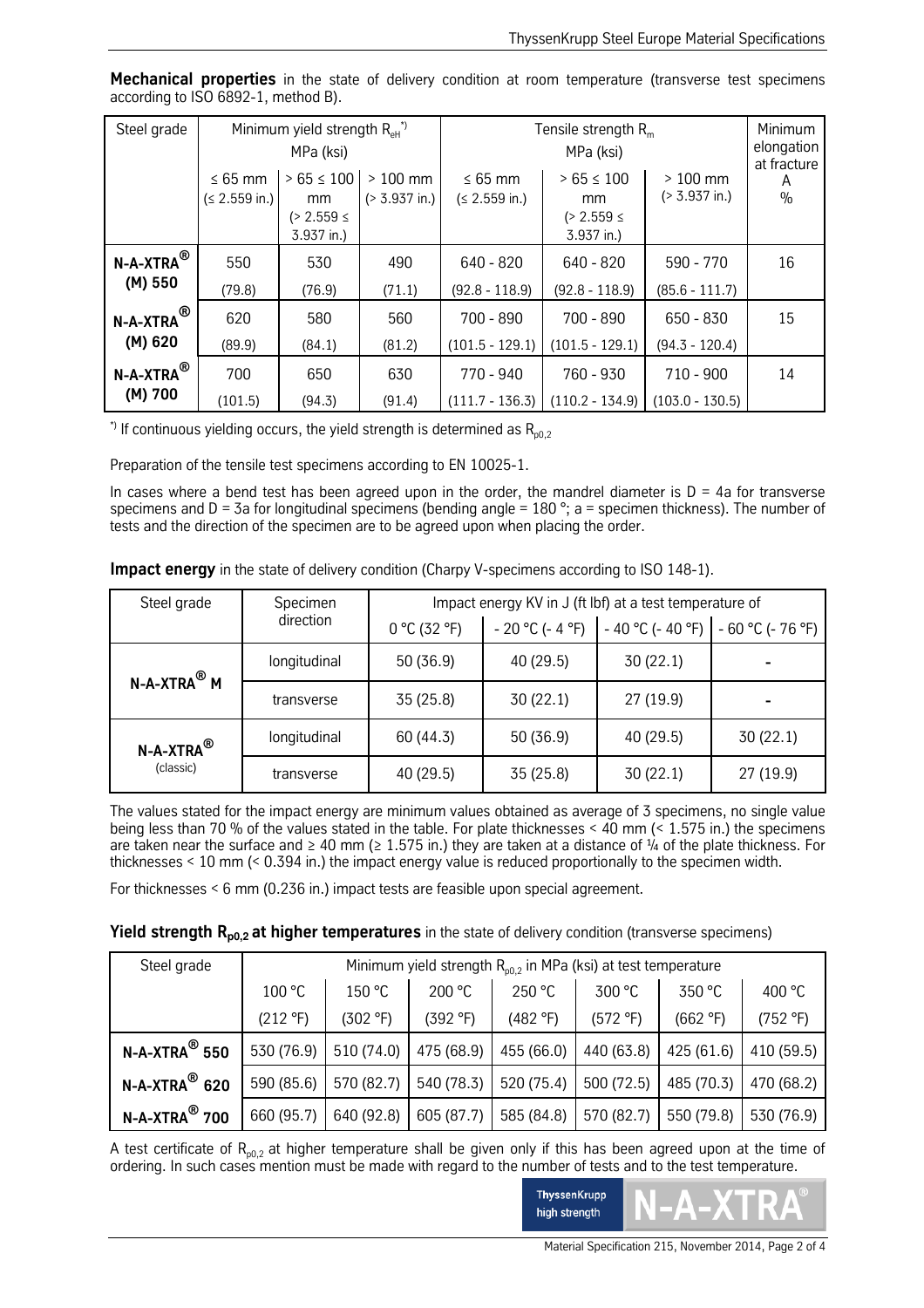| Steel grade                         | Minimum yield strength $R_{\text{eff}}^{\text{}}$<br>MPa (ksi) |                                                                |                                       | Tensile strength $Rm$          | Minimum<br>elongation<br>at fracture                 |                                       |                    |
|-------------------------------------|----------------------------------------------------------------|----------------------------------------------------------------|---------------------------------------|--------------------------------|------------------------------------------------------|---------------------------------------|--------------------|
|                                     | $\leq 65$ mm<br>(≤ 2.559 in.)                                  | $>65 \le 100$<br><sub>mm</sub><br>$(> 2.559 \le$<br>3.937 in.) | $>100$ mm<br>$( > 3.937 \text{ in.})$ | $\leq 65$ mm<br>(≤ 2.559 in.)  | $> 65 \le 100$<br>mm<br>$(> 2.559 \le$<br>3.937 in.) | $>100$ mm<br>$( > 3.937 \text{ in.})$ | A<br>$\frac{0}{0}$ |
| $N$ -A-XTRA $^\circledR$<br>(M) 550 | 550<br>(79.8)                                                  | 530<br>(76.9)                                                  | 490<br>(71.1)                         | 640 - 820<br>$(92.8 - 118.9)$  | $640 - 820$<br>$(92.8 - 118.9)$                      | 590 - 770<br>$(85.6 - 111.7)$         | 16                 |
| $N-A-XTRA^{\circledR}$ i<br>(M) 620 | 620<br>(89.9)                                                  | 580<br>(84.1)                                                  | 560<br>(81.2)                         | 700 - 890<br>$(101.5 - 129.1)$ | $700 - 890$<br>$(101.5 - 129.1)$                     | $650 - 830$<br>$(94.3 - 120.4)$       | 15                 |
| $N-A-XTRA^(8)$<br>(M) 700           | 700<br>(101.5)                                                 | 650<br>(94.3)                                                  | 630<br>(91.4)                         | 770 - 940                      | 760 - 930<br>$(111.7 - 136.3)$ (110.2 - 134.9)       | $710 - 900$<br>$(103.0 - 130.5)$      | 14                 |

**Mechanical properties** in the state of delivery condition at room temperature (transverse test specimens according to ISO 6892-1, method B).

\*) If continuous yielding occurs, the yield strength is determined as  $R_{n0,2}$ 

Preparation of the tensile test specimens according to EN 10025-1.

In cases where a bend test has been agreed upon in the order, the mandrel diameter is  $D = 4a$  for transverse specimens and D = 3a for longitudinal specimens (bending angle = 180 °; a = specimen thickness). The number of tests and the direction of the specimen are to be agreed upon when placing the order.

| <b>Impact energy</b> in the state of delivery condition (Charpy V-specimens according to ISO 148-1). |  |  |
|------------------------------------------------------------------------------------------------------|--|--|
|------------------------------------------------------------------------------------------------------|--|--|

| Steel grade                        | Specimen     | Impact energy KV in J (ft lbf) at a test temperature of |                  |                   |                   |  |  |
|------------------------------------|--------------|---------------------------------------------------------|------------------|-------------------|-------------------|--|--|
|                                    | direction    | 0 °C (32 °F)                                            | $-20 °C$ (-4 °F) | $-40 °C (-40 °F)$ | $-60 °C (-76 °F)$ |  |  |
| $N-A-XTRA^{\circledR}$ M           | longitudinal | 50 (36.9)                                               | 40 (29.5)        | 30(22.1)          |                   |  |  |
|                                    | transverse   | 35 (25.8)                                               | 30(22.1)         | 27 (19.9)         |                   |  |  |
| N-A-XTRA $^\circledR$<br>(classic) | longitudinal | 60 (44.3)                                               | 50 (36.9)        | 40 (29.5)         | 30 (22.1)         |  |  |
|                                    | transverse   | 40 (29.5)                                               | 35 (25.8)        | 30 (22.1)         | 27 (19.9)         |  |  |

The values stated for the impact energy are minimum values obtained as average of 3 specimens, no single value being less than 70 % of the values stated in the table. For plate thicknesses < 40 mm (< 1.575 in.) the specimens are taken near the surface and  $\geq 40$  mm ( $\geq 1.575$  in.) they are taken at a distance of ¼ of the plate thickness. For thicknesses  $\leq$  10 mm ( $\leq$  0.394 in.) the impact energy value is reduced proportionally to the specimen width.

For thicknesses < 6 mm (0.236 in.) impact tests are feasible upon special agreement.

### **Yield strength R<sub>p0,2</sub> at higher temperatures** in the state of delivery condition (transverse specimens)

| Steel grade                  | Minimum yield strength $R_{00.2}$ in MPa (ksi) at test temperature |            |            |            |            |            |            |  |
|------------------------------|--------------------------------------------------------------------|------------|------------|------------|------------|------------|------------|--|
|                              | 300 °C<br>200 °C<br>250 °C<br>400 °C<br>150 °C<br>350 °C<br>100 °C |            |            |            |            |            |            |  |
|                              | (212 °F)                                                           | (302 °F)   | (392 °F)   | (482 °F)   | (572 °F)   | (662 °F)   | (752 °F)   |  |
| $N-A-XTRA^@$ 550             | 530 (76.9)                                                         | 510 (74.0) | 475 (68.9) | 455 (66.0) | 440 (63.8) | 425 (61.6) | 410 (59.5) |  |
| $N-A-XTRA^@$ 620             | 590 (85.6)                                                         | 570 (82.7) | 540 (78.3) | 520 (75.4) | 500 (72.5) | 485 (70.3) | 470 (68.2) |  |
| $N$ -A-XTRA $^\circledR$ 700 | 660 (95.7)                                                         | 640 (92.8) | 605 (87.7) | 585 (84.8) | 570 (82.7) | 550 (79.8) | 530 (76.9) |  |

A test certificate of  $R_{n0}$ , at higher temperature shall be given only if this has been agreed upon at the time of ordering. In such cases mention must be made with regard to the number of tests and to the test temperature.



Material Specification 215, November 2014, Page 2 of 4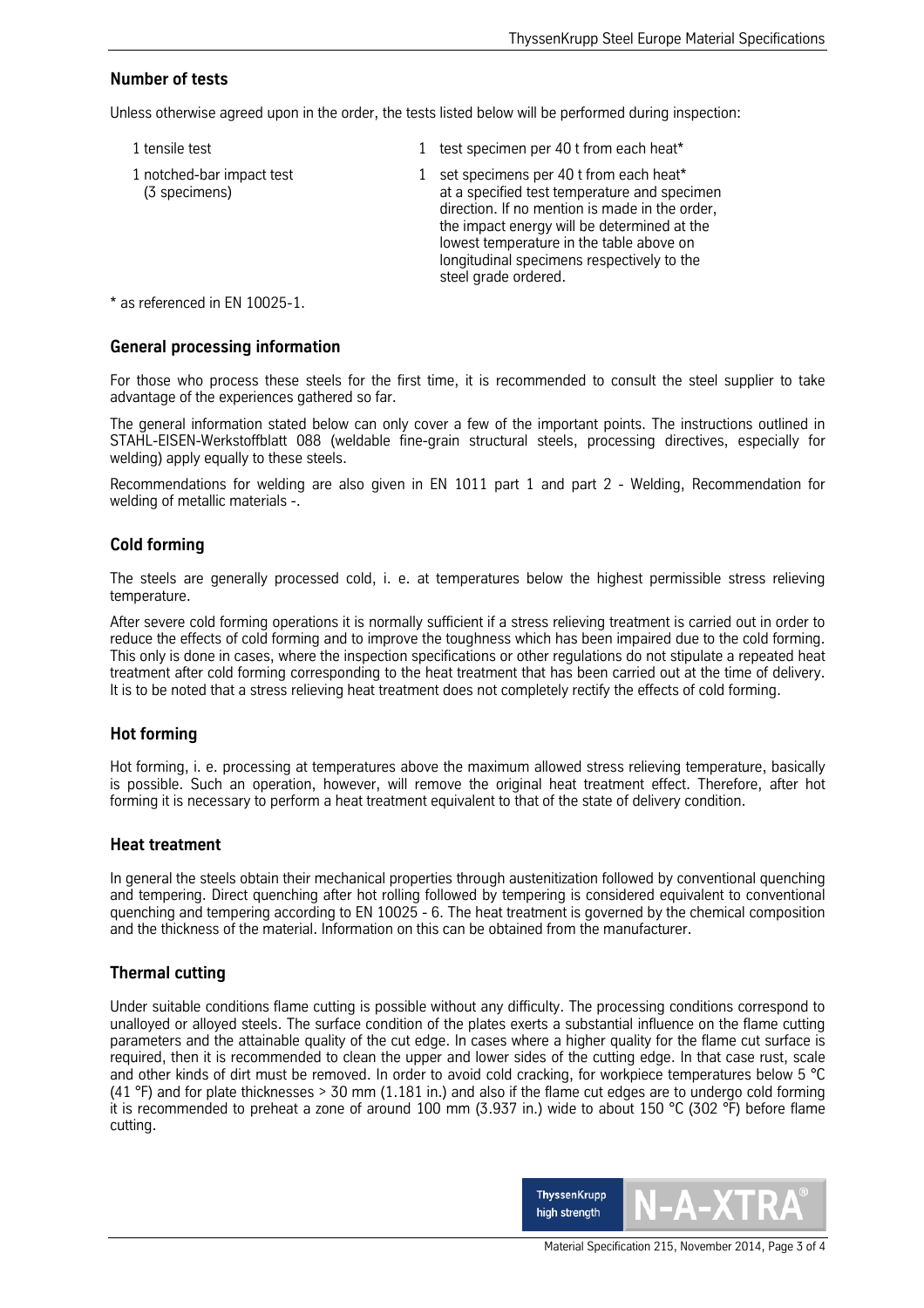## **Number of tests**

Unless otherwise agreed upon in the order, the tests listed below will be performed during inspection:

1 tensile test 1 test specimen per 40 t from each heat\* 1 notched-bar impact test 1 set specimens per 40 t from each heat\* (3 specimens) (3 specimens)  $\qquad \qquad$  at a specified test temperature and specimen direction. If no mention is made in the order, the impact energy will be determined at the lowest temperature in the table above on longitudinal specimens respectively to the steel grade ordered.

\* as referenced in EN 10025-1.

#### **General processing information**

For those who process these steels for the first time, it is recommended to consult the steel supplier to take advantage of the experiences gathered so far.

The general information stated below can only cover a few of the important points. The instructions outlined in STAHL-EISEN-Werkstoffblatt 088 (weldable fine-grain structural steels, processing directives, especially for welding) apply equally to these steels.

Recommendations for welding are also given in EN 1011 part 1 and part 2 - Welding, Recommendation for welding of metallic materials -

### **Cold forming**

The steels are generally processed cold, i. e. at temperatures below the highest permissible stress relieving temperature.

After severe cold forming operations it is normally sufficient if a stress relieving treatment is carried out in order to reduce the effects of cold forming and to improve the toughness which has been impaired due to the cold forming. This only is done in cases, where the inspection specifications or other regulations do not stipulate a repeated heat treatment after cold forming corresponding to the heat treatment that has been carried out at the time of delivery. It is to be noted that a stress relieving heat treatment does not completely rectify the effects of cold forming.

### **Hot forming**

Hot forming, i. e. processing at temperatures above the maximum allowed stress relieving temperature, basically is possible. Such an operation, however, will remove the original heat treatment effect. Therefore, after hot forming it is necessary to perform a heat treatment equivalent to that of the state of delivery condition.

#### **Heat treatment**

In general the steels obtain their mechanical properties through austenitization followed by conventional quenching and tempering. Direct quenching after hot rolling followed by tempering is considered equivalent to conventional quenching and tempering according to EN 10025 - 6. The heat treatment is governed by the chemical composition and the thickness of the material. Information on this can be obtained from the manufacturer.

### **Thermal cutting**

Under suitable conditions flame cutting is possible without any difficulty. The processing conditions correspond to unalloyed or alloyed steels. The surface condition of the plates exerts a substantial influence on the flame cutting parameters and the attainable quality of the cut edge. In cases where a higher quality for the flame cut surface is required, then it is recommended to clean the upper and lower sides of the cutting edge. In that case rust, scale and other kinds of dirt must be removed. In order to avoid cold cracking, for workpiece temperatures below 5 °C (41 °F) and for plate thicknesses  $>$  30 mm (1.181 in.) and also if the flame cut edges are to undergo cold forming it is recommended to preheat a zone of around 100 mm (3.937 in.) wide to about 150 °C (302 °F) before flame cutting.